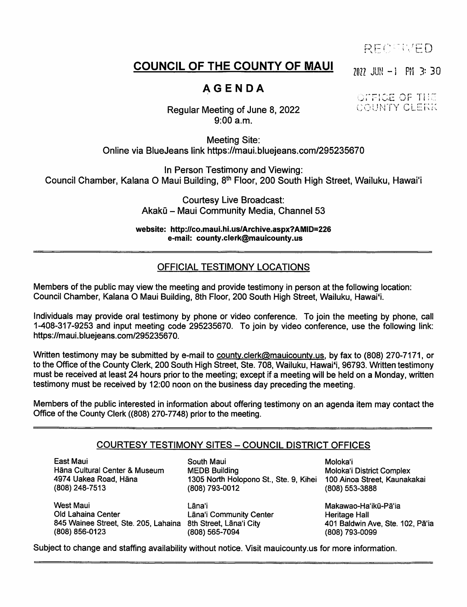RECTIVED

# COUNCIL OF THE COUNTY OF MAUI  $_{707}$  JUN -1 PM 3: 30

# **AGENDA**

#### $\tt FICE$  of  $\tt T1$ UNTY CLERK

Regular Meeting of June 8, 2022 9:00 a.m.

Meeting Site: Online via BlueJeans link https://maui.bluejeans.com/295235670

In Person Testimony and Viewing: Council Chamber, Kalana O Maui Building, 8<sup>th</sup> Floor, 200 South High Street, Wailuku, Hawai'i

> Courtesy Live Broadcast: Akakū – Maui Community Media, Channel 53

website: http://co.maui.hi.us/Archive.aspx?AMID=226 e-mail: county.clerk@mauicounty.us

## OFFICIAL TESTIMONY LOCATIONS

Members of the public may view the meeting and provide testimony in person at the following location: Council Chamber, Kalana O Maul Building, 8th Floor, 200 South High Street, Wailuku, Hawai'1.

Individuals may provide oral testimony by phone or video conference. To join the meeting by phone, call 1-408-317-9253 and input meeting code 295235670. To join by video conference, use the following link: https://maui.bluejeans.com/295235670.

Written testimony may be submitted by e-mail to county.clerk@mauicounty.us, by fax to (808) 270-7171, or to the Office of the County Clerk, 200 South High Street, Ste. 708, Wailuku, Hawai'i, 96793. Written testimony must be received at least 24 hours prior to the meeting; except if a meeting will be held on a Monday, written testimony must be received by 12:00 noon on the business day preceding the meeting.

Members of the public interested in information about offering testimony on an agenda item may contact the Office of the County Clerk ((808) 270-7748) prior to the meeting.

#### COURTESY TESTIMONY SITES - COUNCIL DISTRICT OFFICES

East Maui Hana Cultural Center & Museum 4974 Uakea Road, Hana (808) 248-7513

South Maui **Moloka'i** Moloka'i 1305 North Holopono St., Ste. 9, Kihei (808) 793-0012 MEDB Building

West Maui Old Lahaina Center 845 Wainee Street, Ste. 205, Lahaina 8th Street, Lāna'i City (808) 856-0123

(808) 565-7094 Lana'i Makawao-Ha'iku-Pa'i a Lana'i Community Center

Moloka'i District Complex (808) 553-3888

Heritage Hall 401 Baldwin Ave, Ste. 102, Pa'ia (808) 793-0099

Subject to change and staffing availability without notice. Visit mauicounty.us for more information.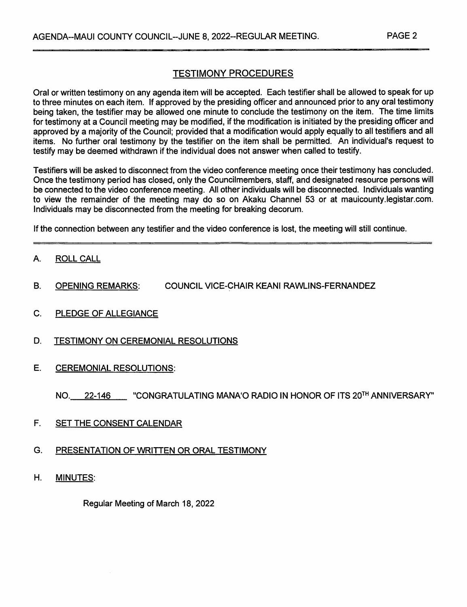## TESTIMONY PROCEDURES

Oral or written testimony on any agenda item will be accepted. Each testifier shall be allowed to speak for up to three minutes on each item. If approved by the presiding officer and announced prior to any oral testimony being taken, the testifier may be allowed one minute to conclude the testimony on the item. The time limits for testimony at a Council meeting may be modified, if the modification is initiated by the presiding officer and approved by a majority of the Council; provided that a modification would apply equally to all testifiers and all items. No further oral testimony by the testifier on the item shall be permitted. An individual's request to testify may be deemed withdrawn if the individual does not answer when called to testify.

Testifiers will be asked to disconnect from the video conference meeting once their testimony has concluded. Once the testimony period has closed, only the Councilmembers, staff, and designated resource persons will be connected to the video conference meeting. All other individuals will be disconnected. Individuals wanting to view the remainder of the meeting may do so on Akaku Channel 53 or at mauicounty.legistar.com. Individuals may be disconnected from the meeting for breaking decorum.

If the connection between any testifier and the video conference is lost, the meeting will still continue.

- A. ROLL CALL
- B. OPENING REMARKS: COUNCIL VICE-CHAIR KEANI RAWLINS-FERNANDEZ
- C. PLEDGE OF ALLEGIANCE
- D. TESTIMONY ON CEREMONIAL RESOLUTIONS
- E. CEREMONIAL RESOLUTIONS:

NO. 22-146 CONGRATULATING MANA'O RADIO IN HONOR OF ITS 20TH ANNIVERSARY"

- F. SET THE CONSENT CALENDAR
- G. PRESENTATION OF WRITTEN OR ORAL TESTIMONY
- H. MINUTES:

Regular Meeting of March 18, 2022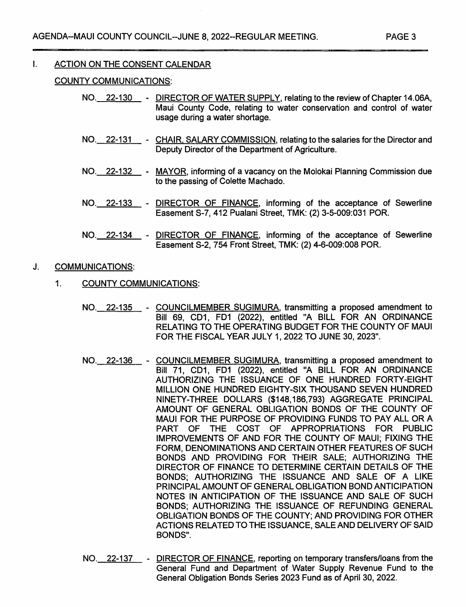#### $\mathbf{L}$ ACTION ON THE CONSENT CALENDAR

#### COUNTY COMMUNICATIONS:

- NO. 22-130 DIRECTOR OF WATER SUPPLY, relating to the review of Chapter 14.06A, Maui County Code, relating to water conservation and control of water usage during a water shortage.
- NO. 22-131 CHAIR, SALARY COMMISSION, relating to the salaries for the Director and Deputy Director of the Department of Agriculture.
- NO.\_\_22-132\_\_\_- <u>MAYOR</u>, informing of a vacancy on the Molokai Planning Commission due to the passing of Colette Machado.
- NO. 22-133 DIRECTOR OF FINANCE, informing of the acceptance of Sewerline Easement S-7, 412 Pualani Street, TMK: (2) 3-5-009:031 POR.
- NO. 22-134 DIRECTOR OF FINANCE, informing of the acceptance of Sewerline Easement S-2, 754 Front Street, TMK: (2) 4-6-009:008 POR.

#### J. COMMUNICATIONS:

- 1. COUNTY COMMUNICATIONS:
	- NO. 22-135 COUNCILMEMBER SUGIMURA, transmitting a proposed amendment to Bill 69, CD1, FD1 (2022), entitled "A BILL FOR AN ORDINANCE RELATING TO THE OPERATING BUDGET FOR THE COUNTY OF MAUI FOR THE FISCAL YEAR JULY 1,2022 TO JUNE 30, 2023".
	- NO. 22-136 COUNCILMEMBER SUGIMURA, transmitting a proposed amendment to Bill 71, CD1, FD1 (2022), entitled "A BILL FOR AN ORDINANCE AUTHORIZING THE ISSUANCE OF ONE HUNDRED FORTY-EIGHT MILLION ONE HUNDRED ElGHTY-SlX THOUSAND SEVEN HUNDRED NINETY-THREE DOLLARS (\$148,186,793) AGGREGATE PRINCIPAL AMOUNT OF GENERAL OBLIGATION BONDS OF THE COUNTY OF MAUI FOR THE PURPOSE OF PROVIDING FUNDS TO PAY ALL OR A PART OF THE COST OF APPROPRIATIONS FOR PUBLIC IMPROVEMENTS OF AND FOR THE COUNTY OF MAUI; FIXING THE FORM, DENOMINATIONS AND CERTAIN OTHER FEATURES OF SUCH BONDS AND PROVIDING FOR THEIR SALE; AUTHORIZING THE DIRECTOR OF FINANCE TO DETERMINE CERTAIN DETAILS OF THE BONDS; AUTHORIZING THE ISSUANCE AND SALE OF A LIKE PRINCIPAL AMOUNT OF GENERAL OBLIGATION BOND ANTICIPATION NOTES IN ANTICIPATION OF THE ISSUANCE AND SALE OF SUCH BONDS; AUTHORIZING THE ISSUANCE OF REFUNDING GENERAL OBLIGATION BONDS OF THE COUNTY; AND PROVIDING FOR OTHER ACTIONS RELATED TO THE ISSUANCE, SALE AND DELIVERY OF SAID BONDS".
	- NO.\_\_22-137\_\_\_\_-\_ DIRECTOR OF FINANCE, reporting on temporary transfers/loans from the General Fund and Department of Water Supply Revenue Fund to the General Obligation Bonds Series 2023 Fund as of April 30, 2022.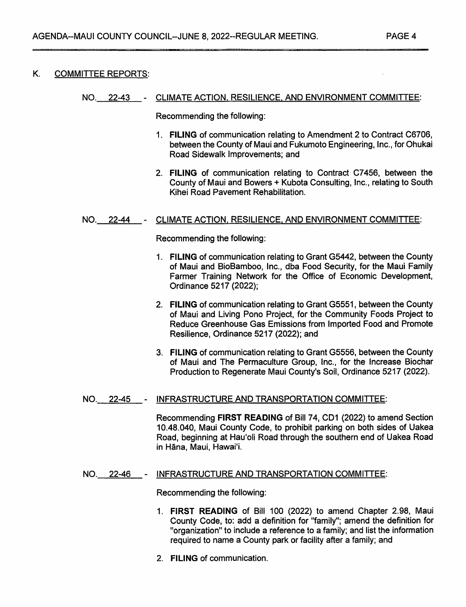#### K. COMMITTEE REPORTS:

#### NO. 22-43 CLIMATE ACTION, RESILIENCE. AND ENVIRONMENT COMMITTEE:

Recommending the following:

- FILING of communication relating to Amendment 2 to Contract C6706, 1. between the County of Maui and Fukumoto Engineering, Inc., for Ohukai Road Sidewalk Improvements; and
- FILING of communication relating to Contract C7456, between the 2. County of Maui and Bowers + Kubota Consulting, Inc., relating to South Kihei Road Pavement Rehabilitation.

#### NO. 22-44 CLIMATE ACTION. RESILIENCE. AND ENVIRONMENT COMMITTEE:

Recommending the following:

- FILING of communication relating to Grant G5442, between the County 1. of Maui and BioBamboo, Inc., dba Food Security, for the Maui Family Farmer Training Network for the Office of Economic Development, Ordinance 5217(2022);
- 2. **FILING** of communication relating to Grant G5551, between the County of Maui and Living Pono Project, for the Community Foods Project to Reduce Greenhouse Gas Emissions from Imported Food and Promote Resilience, Ordinance 5217 (2022); and
- FILING of communication relating to Grant G5556, between the County 3. of Maui and The Permaculture Group, Inc., for the Increase Biochar Production to Regenerate Maui County's Soil, Ordinance 5217 (2022),

#### NO. 22-45 INFRASTRUCTURE AND TRANSPORTATION COMMITTEE:

Recommending FIRST READING of Bill 74, CD1 (2022) to amend Section 10.48.040, Maui County Code, to prohibit parking on both sides of Uakea Road, beginning at Hau'oli Road through the southern end of Uakea Road in Hāna, Maui, Hawai'i.

### NO. 22-46 - INFRASTRUCTURE AND TRANSPORTATION COMMITTEE:

Recommending the following:

- 1. FIRST READING of Bill 100 (2022) to amend Chapter 2.98, Maui County Code, to: add a definition for "family"; amend the definition for "organization" to include a reference to a family; and list the information required to name a County park or facility after a family; and
- 2. FILING of communication.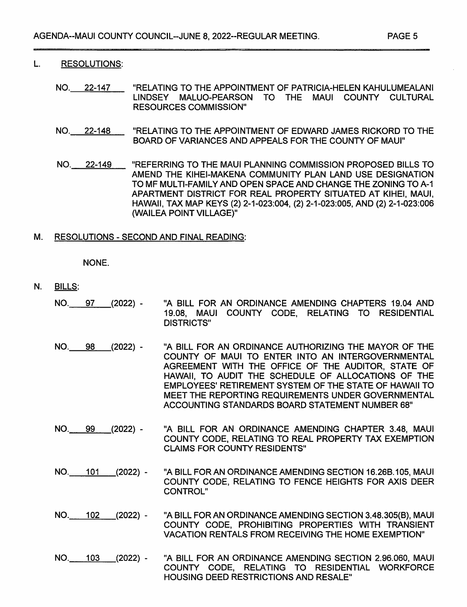#### L. RESOLUTIONS:

- NO. 22-147 "RELATING TO THE APPOINTMENT OF PATRICIA-HELEN KAHULUMEALANI LINDSEY MALUO-PEARSON TO THE MAUI COUNTY CULTURAL RESOURCES COMMISSION"
- NO. 22-148 "RELATING TO THE APPOINTMENT OF EDWARD JAMES RICKORD TO THE BOARD OF VARIANCES AND APPEALS FOR THE COUNTY OF MAUI"
- NO. 22-149 "REFERRING TO THE MAUI PLANNING COMMISSION PROPOSED BILLS TO AMEND THE KIHEI-MAKENA COMMUNITY PLAN LAND USE DESIGNATION TO MF MULTI-FAMILY AND OPEN SPACE AND CHANGE THE ZONING TO A-1 APARTMENT DISTRICT FOR REAL PROPERTY SITUATED AT KIHEI, MAUI, HAWAII, TAX MAP KEYS (2) 2-1-023:004, (2) 2-1-023:005, AND (2) 2-1-023:006 (WAILEA POINT VILLAGE)"

#### M. RESOLUTIONS - SECOND AND FINAL READING:

NONE.

- N. BILLS:
	- NO. 97 (2022) "A BILL FOR AN ORDINANCE AMENDING CHAPTERS 19.04 AND 19.08, MAUI COUNTY CODE, RELATING TO RESIDENTIAL DISTRICTS"
	- NO. 98 (2022) "A BILL FOR AN ORDINANCE AUTHORIZING THE MAYOR OF THE COUNTY OF MAUI TO ENTER INTO AN INTERGOVERNMENTAL AGREEMENT WITH THE OFFICE OF THE AUDITOR, STATE OF HAWAII, TO AUDIT THE SCHEDULE OF ALLOCATIONS OF THE EMPLOYEES' RETIREMENT SYSTEM OF THE STATE OF HAWAII TO MEET THE REPORTING REQUIREMENTS UNDER GOVERNMENTAL ACCOUNTING STANDARDS BOARD STATEMENT NUMBER 68"
	- NO. 99 (2022) "A BILL FOR AN ORDINANCE AMENDING CHAPTER 3.48, MAUI COUNTY CODE, RELATING TO REAL PROPERTY TAX EXEMPTION CLAIMS FOR COUNTY RESIDENTS"
	- NO. 101 (2022) "A BILL FOR AN ORDINANCE AMENDING SECTION 16.26B.105, MAUI COUNTY CODE, RELATING TO FENCE HEIGHTS FOR AXIS DEER CONTROL"
	- NO. 102 (2022) "A BILL FOR AN ORDINANCE AMENDING SECTION 3.48.305(B), MAUI COUNTY CODE, PROHIBITING PROPERTIES WITH TRANSIENT VACATION RENTALS FROM RECEIVING THE HOME EXEMPTION"
	- NO. 103 (2022) "A BILL FOR AN ORDINANCE AMENDING SECTION 2.96.060, MAUI COUNTY CODE, RELATING TO RESIDENTIAL WORKFORCE HOUSING DEED RESTRICTIONS AND RESALE"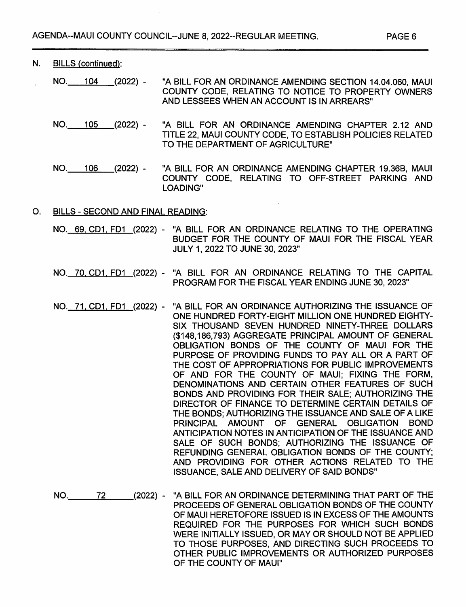$\ddot{\phantom{a}}$ 

|    | N. BILLS (continued):                    |  |                  |                                                                                                                                                                                                                                                                                                                                                                                                                                                                                                                                                                                                                                                                                                                                                                                                                                                                                                                                                                                                                 |
|----|------------------------------------------|--|------------------|-----------------------------------------------------------------------------------------------------------------------------------------------------------------------------------------------------------------------------------------------------------------------------------------------------------------------------------------------------------------------------------------------------------------------------------------------------------------------------------------------------------------------------------------------------------------------------------------------------------------------------------------------------------------------------------------------------------------------------------------------------------------------------------------------------------------------------------------------------------------------------------------------------------------------------------------------------------------------------------------------------------------|
|    |                                          |  |                  | "A BILL FOR AN ORDINANCE AMENDING SECTION 14.04.060, MAUI<br>COUNTY CODE, RELATING TO NOTICE TO PROPERTY OWNERS<br>AND LESSEES WHEN AN ACCOUNT IS IN ARREARS"                                                                                                                                                                                                                                                                                                                                                                                                                                                                                                                                                                                                                                                                                                                                                                                                                                                   |
|    |                                          |  | NO. 105 (2022) - | "A BILL FOR AN ORDINANCE AMENDING CHAPTER 2.12 AND<br>TITLE 22, MAUI COUNTY CODE, TO ESTABLISH POLICIES RELATED<br>TO THE DEPARTMENT OF AGRICULTURE"                                                                                                                                                                                                                                                                                                                                                                                                                                                                                                                                                                                                                                                                                                                                                                                                                                                            |
|    | NO. 106                                  |  | (2022)-          | "A BILL FOR AN ORDINANCE AMENDING CHAPTER 19.36B, MAUI<br>COUNTY CODE, RELATING TO OFF-STREET PARKING AND<br>LOADING"                                                                                                                                                                                                                                                                                                                                                                                                                                                                                                                                                                                                                                                                                                                                                                                                                                                                                           |
| O. | <b>BILLS - SECOND AND FINAL READING:</b> |  |                  |                                                                                                                                                                                                                                                                                                                                                                                                                                                                                                                                                                                                                                                                                                                                                                                                                                                                                                                                                                                                                 |
|    |                                          |  |                  | NO. 69, CD1, FD1 (2022) - "A BILL FOR AN ORDINANCE RELATING TO THE OPERATING<br>BUDGET FOR THE COUNTY OF MAUI FOR THE FISCAL YEAR<br>JULY 1, 2022 TO JUNE 30, 2023"                                                                                                                                                                                                                                                                                                                                                                                                                                                                                                                                                                                                                                                                                                                                                                                                                                             |
|    |                                          |  |                  | NO. 70, CD1, FD1 (2022) - "A BILL FOR AN ORDINANCE RELATING TO THE CAPITAL<br>PROGRAM FOR THE FISCAL YEAR ENDING JUNE 30, 2023"                                                                                                                                                                                                                                                                                                                                                                                                                                                                                                                                                                                                                                                                                                                                                                                                                                                                                 |
|    |                                          |  |                  | NO. 71, CD1, FD1 (2022) - "A BILL FOR AN ORDINANCE AUTHORIZING THE ISSUANCE OF<br>ONE HUNDRED FORTY-EIGHT MILLION ONE HUNDRED EIGHTY-<br>SIX THOUSAND SEVEN HUNDRED NINETY-THREE DOLLARS<br>(\$148,186,793) AGGREGATE PRINCIPAL AMOUNT OF GENERAL<br>OBLIGATION BONDS OF THE COUNTY OF MAUI FOR THE<br>PURPOSE OF PROVIDING FUNDS TO PAY ALL OR A PART OF<br>THE COST OF APPROPRIATIONS FOR PUBLIC IMPROVEMENTS<br>OF AND FOR THE COUNTY OF MAUI; FIXING THE FORM,<br>DENOMINATIONS AND CERTAIN OTHER FEATURES OF SUCH<br>BONDS AND PROVIDING FOR THEIR SALE; AUTHORIZING THE<br>DIRECTOR OF FINANCE TO DETERMINE CERTAIN DETAILS OF<br>THE BONDS; AUTHORIZING THE ISSUANCE AND SALE OF A LIKE<br>PRINCIPAL AMOUNT OF GENERAL OBLIGATION BOND<br>ANTICIPATION NOTES IN ANTICIPATION OF THE ISSUANCE AND<br>SALE OF SUCH BONDS; AUTHORIZING THE ISSUANCE OF<br>REFUNDING GENERAL OBLIGATION BONDS OF THE COUNTY;<br>AND PROVIDING FOR OTHER ACTIONS RELATED TO THE<br>ISSUANCE, SALE AND DELIVERY OF SAID BONDS" |
|    | NO. 72                                   |  |                  | (2022) - "A BILL FOR AN ORDINANCE DETERMINING THAT PART OF THE<br>PROCEEDS OF GENERAL OBLIGATION BONDS OF THE COUNTY<br>OF MAUI HERETOFORE ISSUED IS IN EXCESS OF THE AMOUNTS<br>REQUIRED FOR THE PURPOSES FOR WHICH SUCH BONDS<br>WERE INITIALLY ISSUED, OR MAY OR SHOULD NOT BE APPLIED<br>TO THOSE PURPOSES, AND DIRECTING SUCH PROCEEDS TO                                                                                                                                                                                                                                                                                                                                                                                                                                                                                                                                                                                                                                                                  |

OF THE COUNTY OF MAUI"

OTHER PUBLIC IMPROVEMENTS OR AUTHORIZED PURPOSES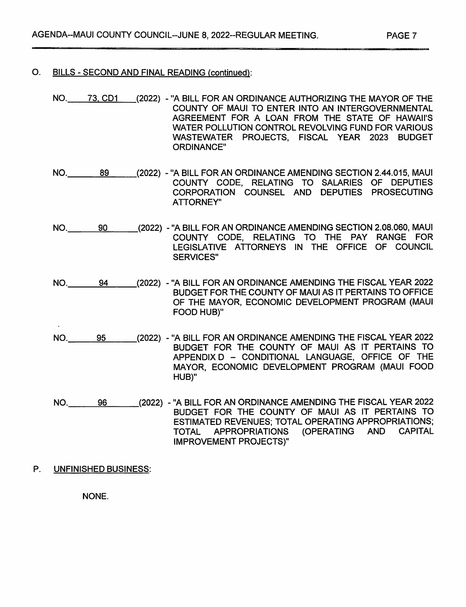### O. BILLS - SECOND AND FINAL READING (continued):

- NO. 73, CD1 (2022) "A BILL FOR AN ORDINANCE AUTHORIZING THE MAYOR OF THE COUNTY OF MAUI TO ENTER INTO AN INTERGOVERNMENTAL AGREEMENT FOR A LOAN FROM THE STATE OF HAWAII'S WATER POLLUTION CONTROL REVOLVING FUND FOR VARIOUS WASTEWATER PROJECTS, FISCAL YEAR 2023 BUDGET ORDINANCE"
- (2022) "A BILL FOR AN ORDINANCE AMENDING SECTION 2.44.015, MAUI COUNTY CODE, RELATING TO SALARIES OF DEPUTIES CORPORATION COUNSEL AND DEPUTIES PROSECUTING ATTORNEY" NO. 89
- (2022) "A BILL FOR AN ORDINANCE AMENDING SECTION 2.08.060. MAUI COUNTY CODE, RELATING TO THE PAY RANGE FOR LEGISLATIVE ATTORNEYS IN THE OFFICE OF COUNCIL SERVICES" NO. 90
- (2022) 'A BILL FOR AN ORDINANCE AMENDING THE FISCAL YEAR 2022 BUDGET FOR THE COUNTY OF MAUI AS IT PERTAINS TO OFFICE OF THE MAYOR, ECONOMIC DEVELOPMENT PROGRAM (MAUI FOOD HUB)" NO. 94
- (2022) "A BILL FOR AN ORDINANCE AMENDING THE FISCAL YEAR 2022 BUDGET FOR THE COUNTY OF MAUI AS IT PERTAINS TO APPENDIX D - CONDITIONAL LANGUAGE, OFFICE OF THE NO. 95 MAYOR, ECONOMIC DEVELOPMENT PROGRAM (MAUI FOOD HUB)"
- (2022) 'A BILL FOR AN ORDINANCE AMENDING THE FISCAL YEAR 2022 BUDGET FOR THE COUNTY OF MAUI AS IT PERTAINS TO ESTIMATED REVENUES; TOTAL OPERATING APPROPRIATIONS; (OPERATING AND CAPITAL IMPROVEMENT PROJECTS)" NO. 96
- P. UNFINISHED BUSINESS:

NONE.